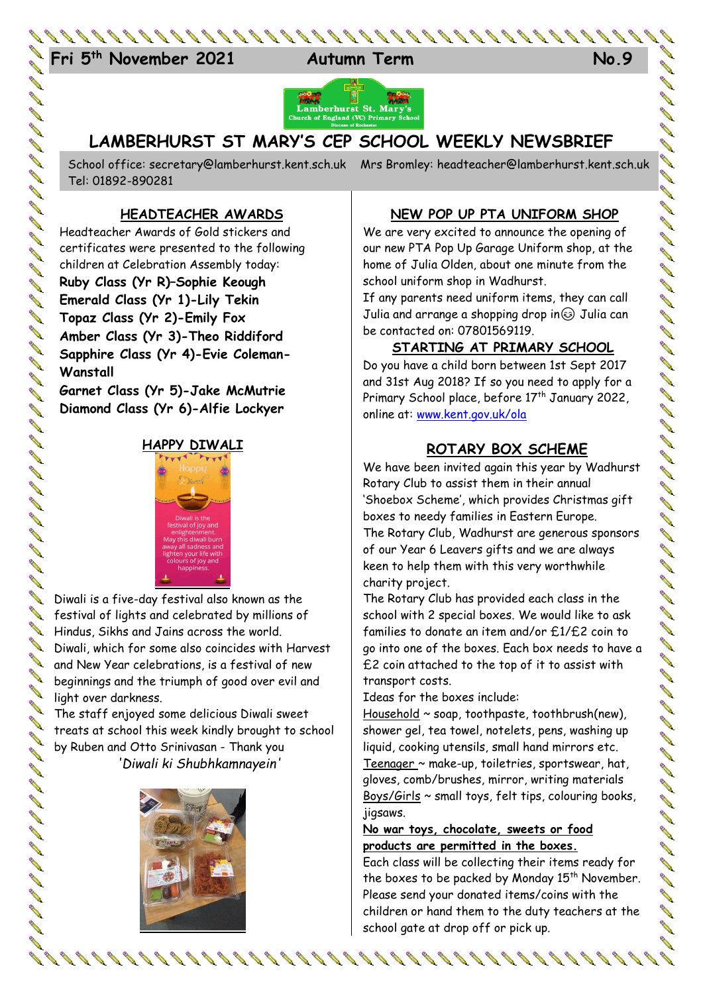



# **LAMBERHURST ST MARY'S CEP SCHOOL WEEKLY NEWSBRIEF**

School office: [secretary@lamberhurst.kent.sch.uk](mailto:secretary@lamberhurst.kent.sch.uk) Mrs Bromley: headteacher@lamberhurst.kent.sch.uk Tel: 01892-890281

## **HEADTEACHER AWARDS**

Headteacher Awards of Gold stickers and certificates were presented to the following children at Celebration Assembly today: **Ruby Class (Yr R)–Sophie Keough Emerald Class (Yr 1)-Lily Tekin Topaz Class (Yr 2)-Emily Fox Amber Class (Yr 3)-Theo Riddiford Sapphire Class (Yr 4)-Evie Coleman-Wanstall**

**Garnet Class (Yr 5)-Jake McMutrie Diamond Class (Yr 6)-Alfie Lockyer**

とくりょう リーカイ イーリー コーヒー コーヒー コーヒー コーヒー コーヒー コーヒー

00000000000000

## **HAPPY DIWALI**



Diwali is a five-day festival also known as the festival of lights and celebrated by millions of Hindus, Sikhs and Jains across the world. Diwali, which for some also coincides with Harvest and New Year celebrations, is a festival of new beginnings and the triumph of good over evil and light over darkness.

The staff enjoyed some delicious Diwali sweet treats at school this week kindly brought to school by Ruben and Otto Srinivasan - Thank you *'Diwali ki Shubhkamnayein'*



### **NEW POP UP PTA UNIFORM SHOP**

We are very excited to announce the opening of our new PTA Pop Up Garage Uniform shop, at the home of Julia Olden, about one minute from the school uniform shop in Wadhurst.

If any parents need uniform items, they can call Julia and arrange a shopping drop in  $\odot$  Julia can be contacted on: 07801569119.

#### **STARTING AT PRIMARY SCHOOL**

Do you have a child born between 1st Sept 2017 and 31st Aug 2018? If so you need to apply for a Primary School place, before 17<sup>th</sup> January 2022, online at: [www.kent.gov.uk/ola](http://www.kent.gov.uk/ola)

## **ROTARY BOX SCHEME**

We have been invited again this year by Wadhurst Rotary Club to assist them in their annual 'Shoebox Scheme', which provides Christmas gift boxes to needy families in Eastern Europe. The Rotary Club, Wadhurst are generous sponsors of our Year 6 Leavers gifts and we are always keen to help them with this very worthwhile charity project.

The Rotary Club has provided each class in the school with 2 special boxes. We would like to ask families to donate an item and/or £1/£2 coin to go into one of the boxes. Each box needs to have a £2 coin attached to the top of it to assist with transport costs.

Ideas for the boxes include:

Household ~ soap, toothpaste, toothbrush(new), shower gel, tea towel, notelets, pens, washing up liquid, cooking utensils, small hand mirrors etc. Teenager ~ make-up, toiletries, sportswear, hat, gloves, comb/brushes, mirror, writing materials Boys/Girls ~ small toys, felt tips, colouring books, jigsaws.

#### **No war toys, chocolate, sweets or food products are permitted in the boxes.**

Each class will be collecting their items ready for the boxes to be packed by Monday 15<sup>th</sup> November. Please send your donated items/coins with the children or hand them to the duty teachers at the school gate at drop off or pick up.